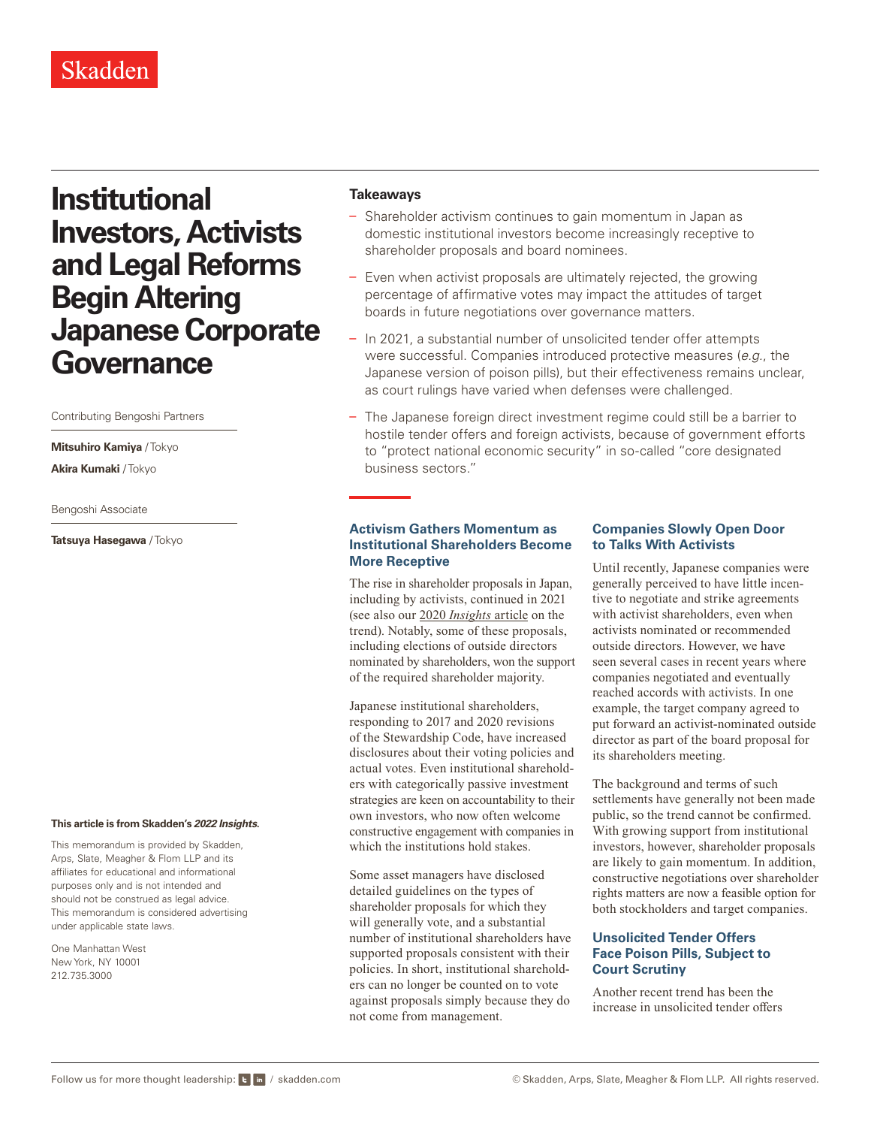# **Institutional Investors, Activists and Legal Reforms Begin Altering Japanese Corporate Governance**

Contributing Bengoshi Partners

**Mitsuhiro Kamiya** / Tokyo **Akira Kumaki** / Tokyo

Bengoshi Associate

**Tatsuya Hasegawa** / Tokyo

#### **This article is from Skadden's** *[2022 Insights](https://www.skadden.com/insights/publications/2022/01/2022-insights/2022-insights)***.**

This memorandum is provided by Skadden, Arps, Slate, Meagher & Flom LLP and its affiliates for educational and informational purposes only and is not intended and should not be construed as legal advice. This memorandum is considered advertising under applicable state laws.

One Manhattan West New York, NY 10001 212.735.3000

#### **Takeaways**

- Shareholder activism continues to gain momentum in Japan as domestic institutional investors become increasingly receptive to shareholder proposals and board nominees.
- Even when activist proposals are ultimately rejected, the growing percentage of affirmative votes may impact the attitudes of target boards in future negotiations over governance matters.
- In 2021, a substantial number of unsolicited tender offer attempts were successful. Companies introduced protective measures (*e.g.*, the Japanese version of poison pills), but their effectiveness remains unclear, as court rulings have varied when defenses were challenged.
- The Japanese foreign direct investment regime could still be a barrier to hostile tender offers and foreign activists, because of government efforts to "protect national economic security" in so-called "core designated business sectors."

#### **Activism Gathers Momentum as Institutional Shareholders Become More Receptive**

The rise in shareholder proposals in Japan, including by activists, continued in 2021 (see also our 2020 *[Insights](https://www.skadden.com/insights/publications/2020/01/2020-insights/as-shareholder-activism-grows-in-japan)* article on the trend). Notably, some of these proposals, including elections of outside directors nominated by shareholders, won the support of the required shareholder majority.

Japanese institutional shareholders, responding to 2017 and 2020 revisions of the Stewardship Code, have increased disclosures about their voting policies and actual votes. Even institutional shareholders with categorically passive investment strategies are keen on accountability to their own investors, who now often welcome constructive engagement with companies in which the institutions hold stakes.

Some asset managers have disclosed detailed guidelines on the types of shareholder proposals for which they will generally vote, and a substantial number of institutional shareholders have supported proposals consistent with their policies. In short, institutional shareholders can no longer be counted on to vote against proposals simply because they do not come from management.

# **Companies Slowly Open Door to Talks With Activists**

Until recently, Japanese companies were generally perceived to have little incentive to negotiate and strike agreements with activist shareholders, even when activists nominated or recommended outside directors. However, we have seen several cases in recent years where companies negotiated and eventually reached accords with activists. In one example, the target company agreed to put forward an activist-nominated outside director as part of the board proposal for its shareholders meeting.

The background and terms of such settlements have generally not been made public, so the trend cannot be confirmed. With growing support from institutional investors, however, shareholder proposals are likely to gain momentum. In addition, constructive negotiations over shareholder rights matters are now a feasible option for both stockholders and target companies.

# **Unsolicited Tender Offers Face Poison Pills, Subject to Court Scrutiny**

Another recent trend has been the increase in unsolicited tender offers